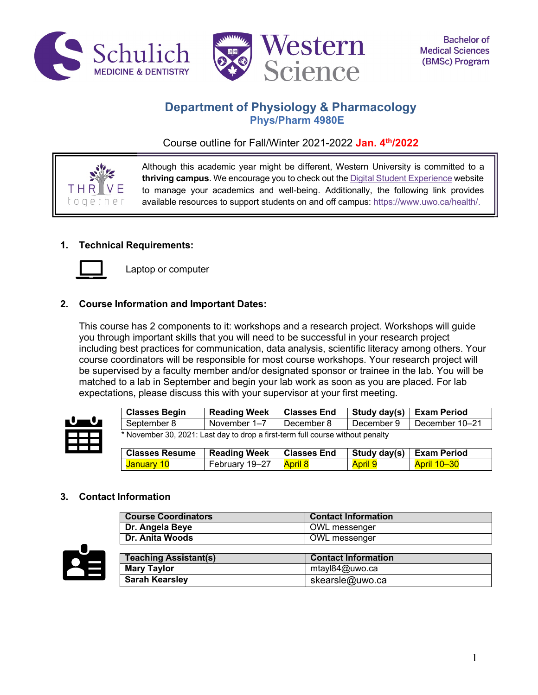



# **Department of Physiology & Pharmacology Phys/Pharm 4980E**

Course outline for Fall/Winter 2021-2022 **Jan. 4th/2022**



Although this academic year might be different, Western University is committed to a **thriving campus**. We encourage you to check out the Digital Student Experience website to manage your academics and well-being. Additionally, the following link provides available resources to support students on and off campus: https://www.uwo.ca/health/.

## **1. Technical Requirements:**



Laptop or computer

## **2. Course Information and Important Dates:**

This course has 2 components to it: workshops and a research project. Workshops will guide you through important skills that you will need to be successful in your research project including best practices for communication, data analysis, scientific literacy among others. Your course coordinators will be responsible for most course workshops. Your research project will be supervised by a faculty member and/or designated sponsor or trainee in the lab. You will be matched to a lab in September and begin your lab work as soon as you are placed. For lab expectations, please discuss this with your supervisor at your first meeting.



| <b>Classes Begin</b>                                                           | <b>Reading Week</b> | <b>Classes End</b> | Study day(s) | <b>Exam Period</b> |
|--------------------------------------------------------------------------------|---------------------|--------------------|--------------|--------------------|
| September 8                                                                    | November 1-7        | December 8         | December 9   | December 10-21     |
| * November 30, 2021: Last day to drop a first-term full course without penalty |                     |                    |              |                    |
|                                                                                |                     |                    |              |                    |
| <b>Classes Resume</b>                                                          | <b>Reading Week</b> | <b>Classes End</b> | Study day(s) | <b>Exam Period</b> |

## **3. Contact Information**

| <b>Course Coordinators</b>   | <b>Contact Information</b> |
|------------------------------|----------------------------|
| Dr. Angela Beye              | OWL messenger              |
| <b>Dr. Anita Woods</b>       | OWL messenger              |
|                              |                            |
| <b>Teaching Assistant(s)</b> | <b>Contact Information</b> |
| <b>Mary Taylor</b>           | mtayl84@uwo.ca             |
| <b>Sarah Kearsley</b>        | skearsle@uwo.ca            |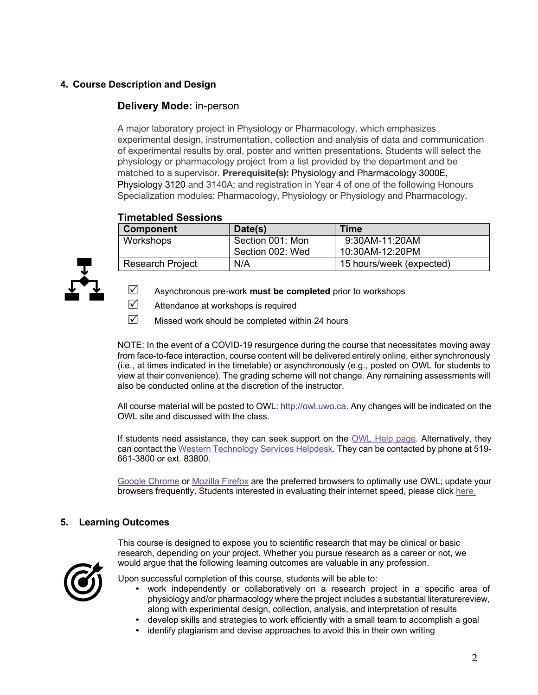## **4. Course Description and Design**

## **Delivery Mode:** in-person

A major laboratory project in Physiology or Pharmacology, which emphasizes experimental design, instrumentation, collection and analysis of data and communication of experimental results by oral, poster and written presentations. Students will select the physiology or pharmacology project from a list provided by the department and be matched to a supervisor. **Prerequisite(s):** Physiology and Pharmacology 3000E, Physiology 3120 and 3140A; and registration in Year 4 of one of the following Honours Specialization modules: Pharmacology, Physiology or Physiology and Pharmacology.

## **Timetabled Sessions**

| <b>Component</b>        | Date(s)          | <b>Time</b>              |
|-------------------------|------------------|--------------------------|
| Workshops               | Section 001: Mon | 9:30AM-11:20AM           |
|                         | Section 002: Wed | 10:30AM-12:20PM          |
| <b>Research Project</b> | N/A              | 15 hours/week (expected) |



- R Asynchronous pre-work **must be completed** prior to workshops
- $\triangledown$  Attendance at workshops is required
- $\triangledown$  Missed work should be completed within 24 hours

NOTE: In the event of a COVID-19 resurgence during the course that necessitates moving away from face-to-face interaction, course content will be delivered entirely online, either synchronously (i.e., at times indicated in the timetable) or asynchronously (e.g., posted on OWL for students to view at their convenience). The grading scheme will not change. Any remaining assessments will also be conducted online at the discretion of the instructor.

All course material will be posted to OWL: http://owl.uwo.ca. Any changes will be indicated on the OWL site and discussed with the class.

If students need assistance, they can seek support on the OWL Help page. Alternatively, they can contact the Western Technology Services Helpdesk. They can be contacted by phone at 519- 661-3800 or ext. 83800.

Google Chrome or Mozilla Firefox are the preferred browsers to optimally use OWL; update your browsers frequently. Students interested in evaluating their internet speed, please click here.

## **5. Learning Outcomes**

This course is designed to expose you to scientific research that may be clinical or basic research, depending on your project. Whether you pursue research as a career or not, we would argue that the following learning outcomes are valuable in any profession.



Upon successful completion of this course, students will be able to:

- work independently or collaboratively on a research project in a specific area of physiology and/or pharmacology where the project includes a substantial literaturereview, along with experimental design, collection, analysis, and interpretation of results
- develop skills and strategies to work efficiently with a small team to accomplish a goal
- identify plagiarism and devise approaches to avoid this in their own writing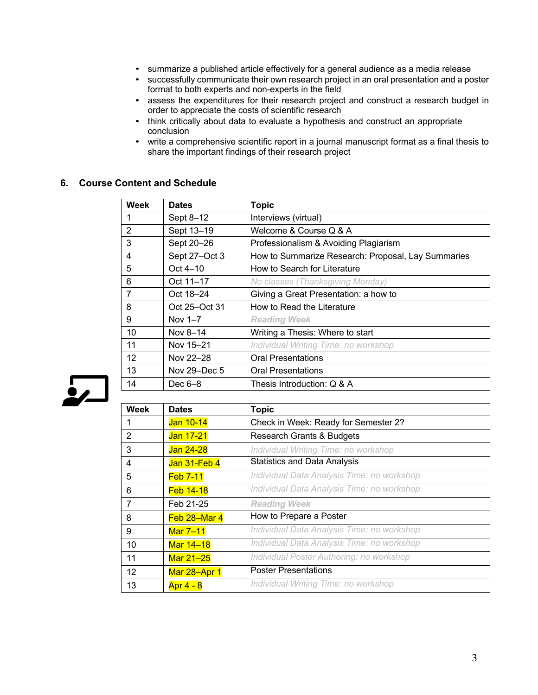- summarize a published article effectively for a general audience as a media release
- successfully communicate their own research project in an oral presentation and a poster format to both experts and non-experts in the field
- assess the expenditures for their research project and construct a research budget in order to appreciate the costs of scientific research
- think critically about data to evaluate a hypothesis and construct an appropriate conclusion
- write a comprehensive scientific report in a journal manuscript format as a final thesis to share the important findings of their research project

### **6. Course Content and Schedule**

| <b>Week</b> | <b>Dates</b>  | <b>Topic</b>                                       |
|-------------|---------------|----------------------------------------------------|
|             | Sept 8-12     | Interviews (virtual)                               |
| 2           | Sept 13-19    | Welcome & Course Q & A                             |
| 3           | Sept 20-26    | Professionalism & Avoiding Plagiarism              |
| 4           | Sept 27-Oct 3 | How to Summarize Research: Proposal, Lay Summaries |
| 5           | Oct $4-10$    | How to Search for Literature                       |
| 6           | Oct 11-17     | No classes (Thanksgiving Monday)                   |
| 7           | Oct 18-24     | Giving a Great Presentation: a how to              |
| 8           | Oct 25-Oct 31 | How to Read the Literature                         |
| 9           | Nov 1-7       | <b>Reading Week</b>                                |
| 10          | Nov 8-14      | Writing a Thesis: Where to start                   |
| 11          | Nov 15-21     | Individual Writing Time: no workshop               |
| 12          | Nov 22-28     | <b>Oral Presentations</b>                          |
| 13          | Nov 29–Dec 5  | <b>Oral Presentations</b>                          |
| 14          | Dec $6-8$     | Thesis Introduction: Q & A                         |



| <b>Week</b> | <b>Dates</b>    | <b>Topic</b>                               |
|-------------|-----------------|--------------------------------------------|
|             | Jan 10-14       | Check in Week: Ready for Semester 2?       |
| 2           | Jan 17-21       | <b>Research Grants &amp; Budgets</b>       |
| 3           | Jan 24-28       | Individual Writing Time: no workshop       |
| 4           | Jan 31-Feb 4    | <b>Statistics and Data Analysis</b>        |
| 5           | <b>Feb 7-11</b> | Individual Data Analysis Time: no workshop |
| 6           | Feb 14-18       | Individual Data Analysis Time: no workshop |
| 7           | Feb 21-25       | <b>Reading Week</b>                        |
| 8           | Feb 28–Mar 4    | How to Prepare a Poster                    |
| 9           | Mar 7-11        | Individual Data Analysis Time: no workshop |
| 10          | Mar 14-18       | Individual Data Analysis Time: no workshop |
| 11          | Mar 21-25       | Individual Poster Authoring: no workshop   |
| 12          | Mar 28-Apr 1    | <b>Poster Presentations</b>                |
| 13          | Apr 4 - 8       | Individual Writing Time: no workshop       |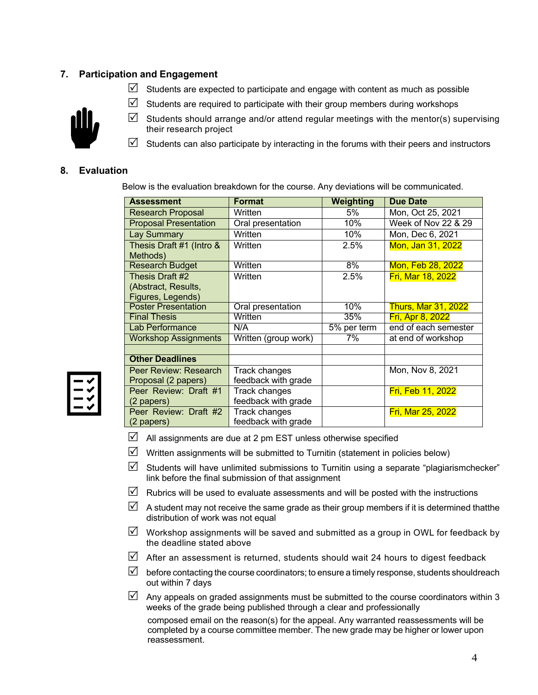## **7. Participation and Engagement**

 $\boxtimes$  Students are expected to participate and engage with content as much as possible

 $\triangledown$  Students are required to participate with their group members during workshops



- $\boxtimes$  Students should arrange and/or attend regular meetings with the mentor(s) supervising their research project
- $\boxtimes$  Students can also participate by interacting in the forums with their peers and instructors

## **8. Evaluation**

Below is the evaluation breakdown for the course. Any deviations will be communicated.

| <b>Assessment</b>            | <b>Format</b>        | Weighting   | <b>Due Date</b>            |
|------------------------------|----------------------|-------------|----------------------------|
| <b>Research Proposal</b>     | Written              | 5%          | Mon, Oct 25, 2021          |
| <b>Proposal Presentation</b> | Oral presentation    | 10%         | Week of Nov 22 & 29        |
| Lay Summary                  | Written              | 10%         | Mon, Dec 6, 2021           |
| Thesis Draft #1 (Intro &     | Written              | 2.5%        | Mon, Jan 31, 2022          |
| Methods)                     |                      |             |                            |
| <b>Research Budget</b>       | Written              | 8%          | Mon, Feb 28, 2022          |
| Thesis Draft #2              | Written              | 2.5%        | <b>Fri, Mar 18, 2022</b>   |
| (Abstract, Results,          |                      |             |                            |
| Figures, Legends)            |                      |             |                            |
| <b>Poster Presentation</b>   | Oral presentation    | 10%         | <b>Thurs, Mar 31, 2022</b> |
| <b>Final Thesis</b>          | Written              | 35%         | Fri, Apr 8, 2022           |
| Lab Performance              | N/A                  | 5% per term | end of each semester       |
| <b>Workshop Assignments</b>  | Written (group work) | 7%          | at end of workshop         |
|                              |                      |             |                            |
| <b>Other Deadlines</b>       |                      |             |                            |
| Peer Review: Research        | Track changes        |             | Mon, Nov 8, 2021           |
| Proposal (2 papers)          | feedback with grade  |             |                            |
| Peer Review: Draft #1        | Track changes        |             | Fri, Feb 11, 2022          |
| (2 papers)                   | feedback with grade  |             |                            |
| Peer Review: Draft #2        | Track changes        |             | <b>Fri, Mar 25, 2022</b>   |
| (2 papers)                   | feedback with grade  |             |                            |

- 
- $\boxtimes$  All assignments are due at 2 pm EST unless otherwise specified
- $\boxtimes$  Written assignments will be submitted to Turnitin (statement in policies below)
- $\triangledown$  Students will have unlimited submissions to Turnitin using a separate "plagiarismchecker" link before the final submission of that assignment
- Rubrics will be used to evaluate assessments and will be posted with the instructions
- $\boxtimes$  A student may not receive the same grade as their group members if it is determined thatthe distribution of work was not equal
- $\boxtimes$  Workshop assignments will be saved and submitted as a group in OWL for feedback by the deadline stated above
- $\triangledown$  After an assessment is returned, students should wait 24 hours to digest feedback
- $\triangledown$  before contacting the course coordinators; to ensure a timely response, students shouldreach out within 7 days
- Any appeals on graded assignments must be submitted to the course coordinators within 3 weeks of the grade being published through a clear and professionally

composed email on the reason(s) for the appeal. Any warranted reassessments will be completed by a course committee member. The new grade may be higher or lower upon reassessment.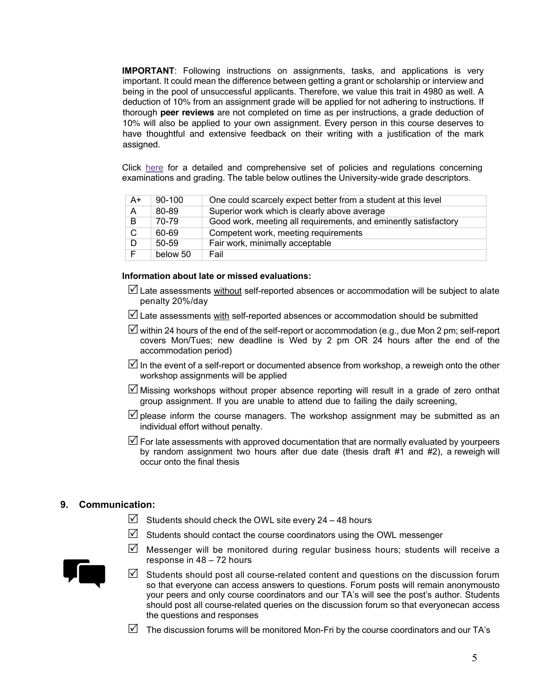**IMPORTANT**: Following instructions on assignments, tasks, and applications is very important. It could mean the difference between getting a grant or scholarship or interview and being in the pool of unsuccessful applicants. Therefore, we value this trait in 4980 as well. A deduction of 10% from an assignment grade will be applied for not adhering to instructions. If thorough **peer reviews** are not completed on time as per instructions, a grade deduction of 10% will also be applied to your own assignment. Every person in this course deserves to have thoughtful and extensive feedback on their writing with a justification of the mark assigned.

Click here for a detailed and comprehensive set of policies and regulations concerning examinations and grading. The table below outlines the University-wide grade descriptors.

| $A+$ | 90-100    | One could scarcely expect better from a student at this level   |
|------|-----------|-----------------------------------------------------------------|
| A    | 80-89     | Superior work which is clearly above average                    |
| B.   | 70-79     | Good work, meeting all requirements, and eminently satisfactory |
| C.   | 60-69     | Competent work, meeting requirements                            |
| D    | $50 - 59$ | Fair work, minimally acceptable                                 |
| F    | below 50  | Fail                                                            |

#### **Information about late or missed evaluations:**

- $\Box$  Late assessments without self-reported absences or accommodation will be subject to alate penalty 20%/day
- $\boxtimes$  Late assessments with self-reported absences or accommodation should be submitted
- $\overline{\mathbb{Y}}$  within 24 hours of the end of the self-report or accommodation (e.g., due Mon 2 pm; self-report covers Mon/Tues; new deadline is Wed by 2 pm OR 24 hours after the end of the accommodation period)
- In the event of a self-report or documented absence from workshop, a reweigh onto the other workshop assignments will be applied
- $\mathbb N$  Missing workshops without proper absence reporting will result in a grade of zero onthat group assignment. If you are unable to attend due to failing the daily screening,
- $\triangledown$  please inform the course managers. The workshop assignment may be submitted as an individual effort without penalty.
- $\Box$  For late assessments with approved documentation that are normally evaluated by yourpeers by random assignment two hours after due date (thesis draft #1 and #2), a reweigh will occur onto the final thesis

### **9. Communication:**

 $\triangledown$  Students should check the OWL site every 24 – 48 hours

response in 48 – 72 hours

 $\boxtimes$  Students should contact the course coordinators using the OWL messenger



 $\boxtimes$  Students should post all course-related content and questions on the discussion forum so that everyone can access answers to questions. Forum posts will remain anonymousto your peers and only course coordinators and our TA's will see the post's author. Students should post all course-related queries on the discussion forum so that everyonecan access the questions and responses

 $\boxtimes$  Messenger will be monitored during regular business hours; students will receive a

 $\boxtimes$  The discussion forums will be monitored Mon-Fri by the course coordinators and our TA's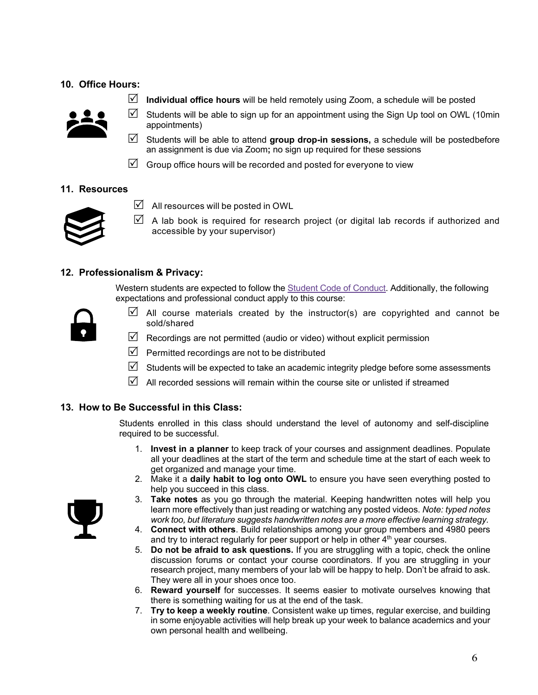## **10. Office Hours:**



- R **Individual office hours** will be held remotely using Zoom, a schedule will be posted
- $\boxtimes$  Students will be able to sign up for an appointment using the Sign Up tool on OWL (10min appointments)
- R Students will be able to attend **group drop-in sessions,** a schedule will be postedbefore an assignment is due via Zoom**;** no sign up required for these sessions
- $\triangledown$  Group office hours will be recorded and posted for everyone to view

### **11. Resources**



- $\boxtimes$  All resources will be posted in OWL
- $\boxtimes$  A lab book is required for research project (or digital lab records if authorized and accessible by your supervisor)

### **12. Professionalism & Privacy:**

Western students are expected to follow the **Student Code of Conduct. Additionally**, the following expectations and professional conduct apply to this course:



- $\boxtimes$  All course materials created by the instructor(s) are copyrighted and cannot be sold/shared
- $\boxtimes$  Recordings are not permitted (audio or video) without explicit permission
- $\triangledown$  Permitted recordings are not to be distributed
- $\boxtimes$  Students will be expected to take an academic integrity pledge before some assessments
- $\triangledown$  All recorded sessions will remain within the course site or unlisted if streamed

### **13. How to Be Successful in this Class:**

Students enrolled in this class should understand the level of autonomy and self-discipline required to be successful.

- 1. **Invest in a planner** to keep track of your courses and assignment deadlines. Populate all your deadlines at the start of the term and schedule time at the start of each week to get organized and manage your time.
- 2. Make it a **daily habit to log onto OWL** to ensure you have seen everything posted to help you succeed in this class.
- 
- 3. **Take notes** as you go through the material. Keeping handwritten notes will help you learn more effectively than just reading or watching any posted videos. *Note: typed notes work too, but literature suggests handwritten notes are a more effective learning strategy.*
- 4. **Connect with others**. Build relationships among your group members and 4980 peers and try to interact regularly for peer support or help in other  $4<sup>th</sup>$  year courses.
- 5. **Do not be afraid to ask questions.** If you are struggling with a topic, check the online discussion forums or contact your course coordinators. If you are struggling in your research project, many members of your lab will be happy to help. Don't be afraid to ask. They were all in your shoes once too.
- 6. **Reward yourself** for successes. It seems easier to motivate ourselves knowing that there is something waiting for us at the end of the task.
- 7. **Try to keep a weekly routine**. Consistent wake up times, regular exercise, and building in some enjoyable activities will help break up your week to balance academics and your own personal health and wellbeing.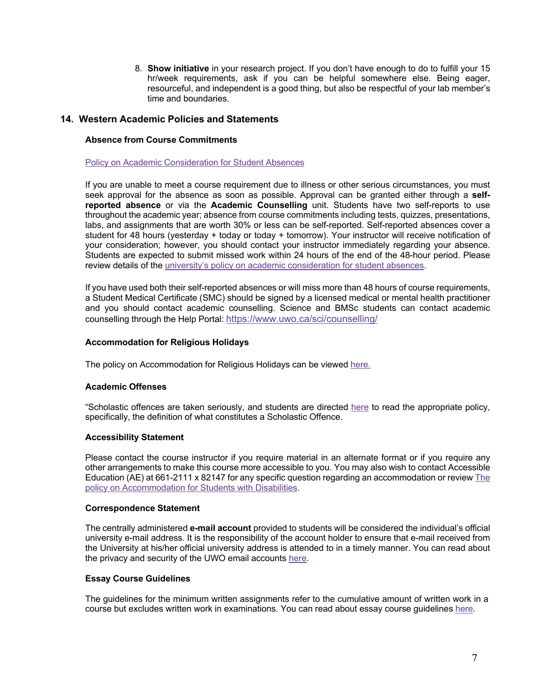8. **Show initiative** in your research project. If you don't have enough to do to fulfill your 15 hr/week requirements, ask if you can be helpful somewhere else. Being eager, resourceful, and independent is a good thing, but also be respectful of your lab member's time and boundaries.

### **14. Western Academic Policies and Statements**

#### **Absence from Course Commitments**

#### Policy on Academic Consideration for Student Absences

If you are unable to meet a course requirement due to illness or other serious circumstances, you must seek approval for the absence as soon as possible. Approval can be granted either through a **selfreported absence** or via the **Academic Counselling** unit. Students have two self-reports to use throughout the academic year; absence from course commitments including tests, quizzes, presentations, labs, and assignments that are worth 30% or less can be self-reported. Self-reported absences cover a student for 48 hours (yesterday + today or today + tomorrow). Your instructor will receive notification of your consideration; however, you should contact your instructor immediately regarding your absence. Students are expected to submit missed work within 24 hours of the end of the 48-hour period. Please review details of the university's policy on academic consideration for student absences.

If you have used both their self-reported absences or will miss more than 48 hours of course requirements, a Student Medical Certificate (SMC) should be signed by a licensed medical or mental health practitioner and you should contact academic counselling. Science and BMSc students can contact academic counselling through the Help Portal: https://www.uwo.ca/sci/counselling/

### **Accommodation for Religious Holidays**

The policy on Accommodation for Religious Holidays can be viewed here.

### **Academic Offenses**

"Scholastic offences are taken seriously, and students are directed here to read the appropriate policy, specifically, the definition of what constitutes a Scholastic Offence.

#### **Accessibility Statement**

Please contact the course instructor if you require material in an alternate format or if you require any other arrangements to make this course more accessible to you. You may also wish to contact Accessible Education (AE) at 661-2111 x 82147 for any specific question regarding an accommodation or review The policy on Accommodation for Students with Disabilities.

#### **Correspondence Statement**

The centrally administered **e-mail account** provided to students will be considered the individual's official university e-mail address. It is the responsibility of the account holder to ensure that e-mail received from the University at his/her official university address is attended to in a timely manner. You can read about the privacy and security of the UWO email accounts here.

### **Essay Course Guidelines**

The guidelines for the minimum written assignments refer to the cumulative amount of written work in a course but excludes written work in examinations. You can read about essay course guidelines here.